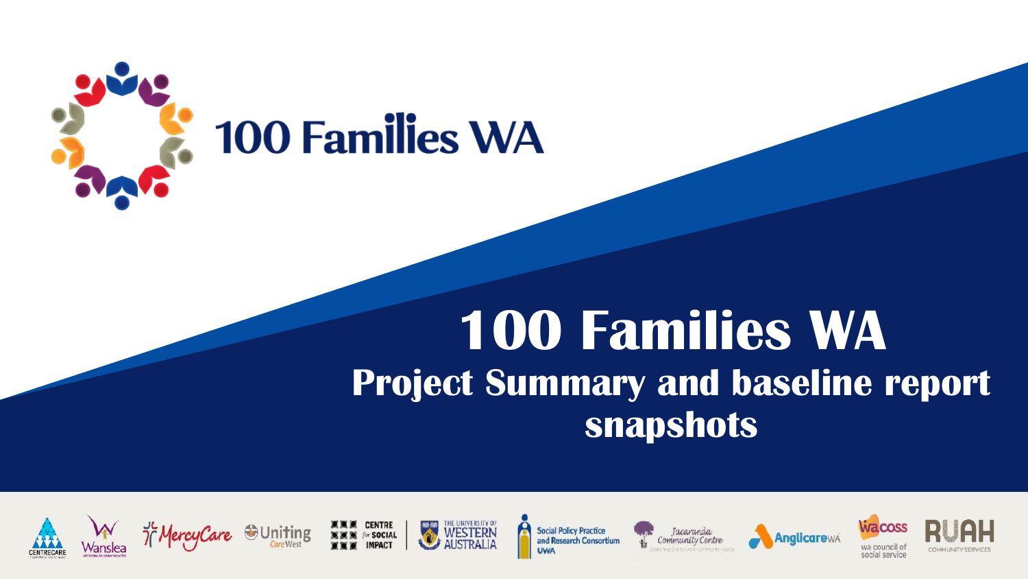

#### **100 Families WA Project Summary and baseline report snapshots**















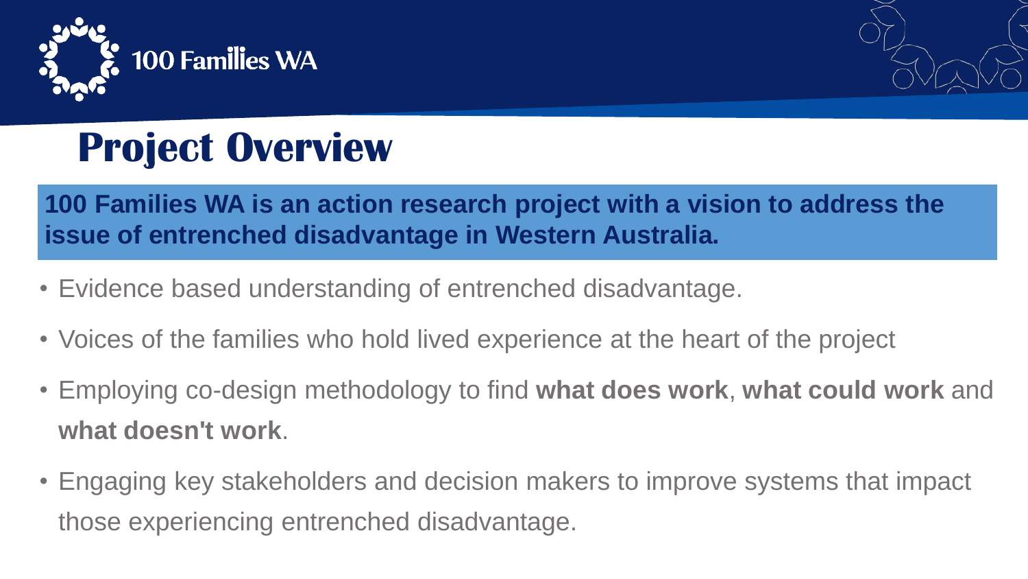



## **Project Overview**

**100 Families WA is an action research project with a vision to address the issue of entrenched disadvantage in Western Australia.**

- Evidence based understanding of entrenched disadvantage.
- Voices of the families who hold lived experience at the heart of the project
- Employing co-design methodology to find **what does work**, **what could work** and **what doesn't work**.
- Engaging key stakeholders and decision makers to improve systems that impact those experiencing entrenched disadvantage.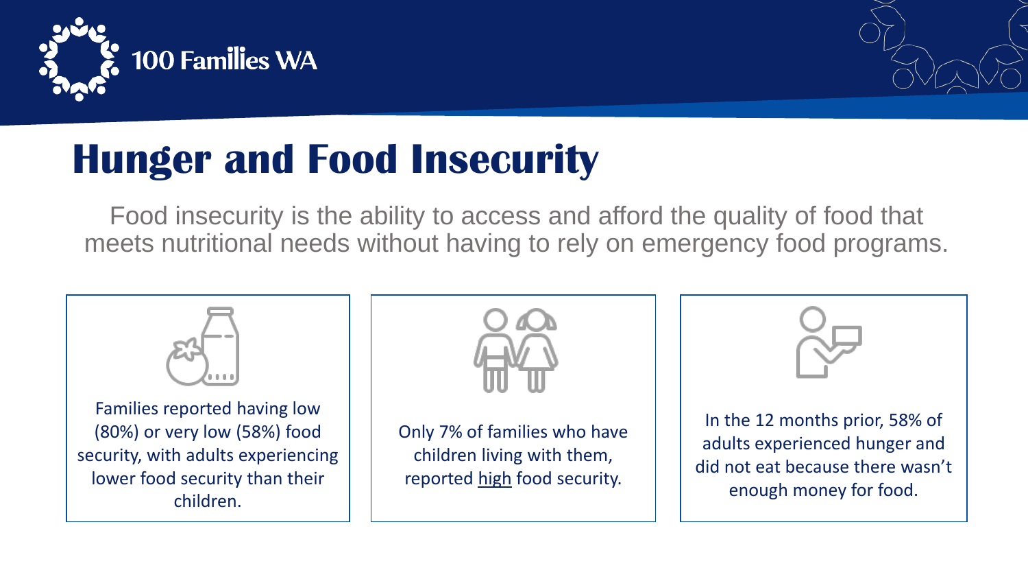



### **Hunger and Food Insecurity**

Food insecurity is the ability to access and afford the quality of food that meets nutritional needs without having to rely on emergency food programs.



Families reported having low (80%) or very low (58%) food security, with adults experiencing lower food security than their children.



Only 7% of families who have children living with them, reported high food security.



In the 12 months prior, 58% of adults experienced hunger and did not eat because there wasn't enough money for food.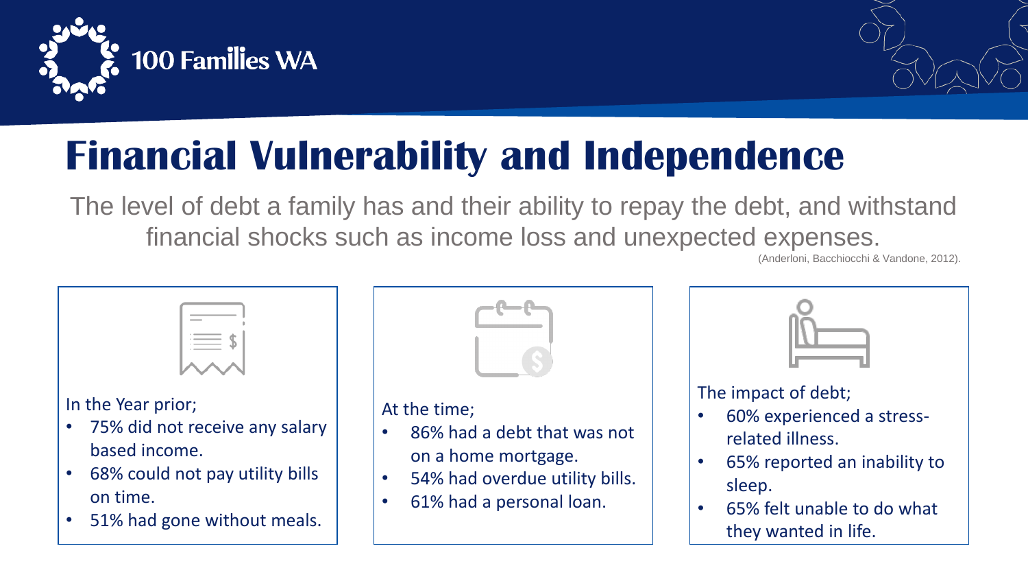

51% had gone without meals.



# **Financial Vulnerability and Independence**

The level of debt a family has and their ability to repay the debt, and withstand financial shocks such as income loss and unexpected expenses.

(Anderloni, Bacchiocchi & Vandone, 2012).



• 65% felt unable to do what they wanted in life.